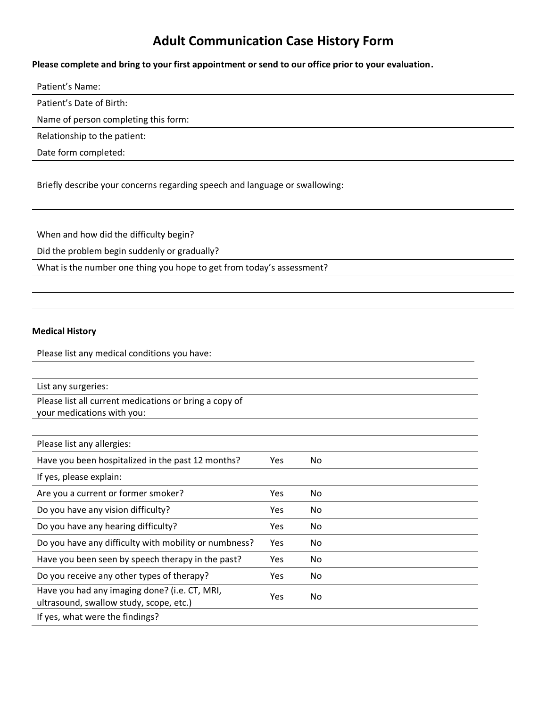## **Adult Communication Case History Form**

**Please complete and bring to your first appointment or send to our office prior to your evaluation.**

Patient's Name:

Patient's Date of Birth:

Name of person completing this form:

Relationship to the patient:

Date form completed:

Briefly describe your concerns regarding speech and language or swallowing:

When and how did the difficulty begin?

Did the problem begin suddenly or gradually?

What is the number one thing you hope to get from today's assessment?

## **Medical History**

Please list any medical conditions you have:

| List any surgeries:                                                                      |            |     |
|------------------------------------------------------------------------------------------|------------|-----|
| Please list all current medications or bring a copy of                                   |            |     |
| your medications with you:                                                               |            |     |
|                                                                                          |            |     |
| Please list any allergies:                                                               |            |     |
| Have you been hospitalized in the past 12 months?                                        | Yes        | No  |
| If yes, please explain:                                                                  |            |     |
| Are you a current or former smoker?                                                      | <b>Yes</b> | No. |
| Do you have any vision difficulty?                                                       | Yes        | No. |
| Do you have any hearing difficulty?                                                      | Yes        | No. |
| Do you have any difficulty with mobility or numbness?                                    | Yes        | No. |
| Have you been seen by speech therapy in the past?                                        | Yes        | No  |
| Do you receive any other types of therapy?                                               | Yes        | No. |
| Have you had any imaging done? (i.e. CT, MRI,<br>ultrasound, swallow study, scope, etc.) | Yes        | No. |
| If yes, what were the findings?                                                          |            |     |